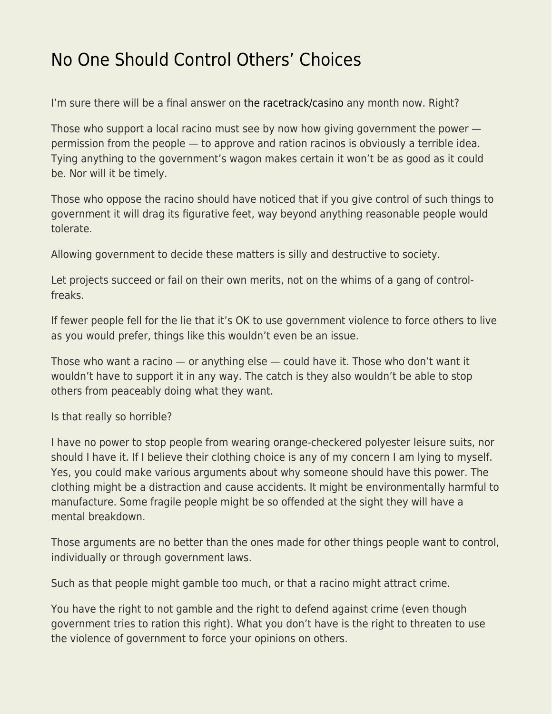## [No One Should Control Others' Choices](https://everything-voluntary.com/no-one-should-control-others-choices)

I'm sure there will be a final answer on [the racetrack/casino](https://www.easternnewmexiconews.com/story/2019/04/28/news/guv-appoints-new-racing-commission/161615.html) any month now. Right?

Those who support a local racino must see by now how giving government the power permission from the people — to approve and ration racinos is obviously a terrible idea. Tying anything to the government's wagon makes certain it won't be as good as it could be. Nor will it be timely.

Those who oppose the racino should have noticed that if you give control of such things to government it will drag its figurative feet, way beyond anything reasonable people would tolerate.

Allowing government to decide these matters is silly and destructive to society.

Let projects succeed or fail on their own merits, not on the whims of a gang of controlfreaks.

If fewer people fell for the lie that it's OK to use government violence to force others to live as you would prefer, things like this wouldn't even be an issue.

Those who want a racino — or anything else — could have it. Those who don't want it wouldn't have to support it in any way. The catch is they also wouldn't be able to stop others from peaceably doing what they want.

Is that really so horrible?

I have no power to stop people from wearing orange-checkered polyester leisure suits, nor should I have it. If I believe their clothing choice is any of my concern I am lying to myself. Yes, you could make various arguments about why someone should have this power. The clothing might be a distraction and cause accidents. It might be environmentally harmful to manufacture. Some fragile people might be so offended at the sight they will have a mental breakdown.

Those arguments are no better than the ones made for other things people want to control, individually or through government laws.

Such as that people might gamble too much, or that a racino might attract crime.

You have the right to not gamble and the right to defend against crime (even though government tries to ration this right). What you don't have is the right to threaten to use the violence of government to force your opinions on others.